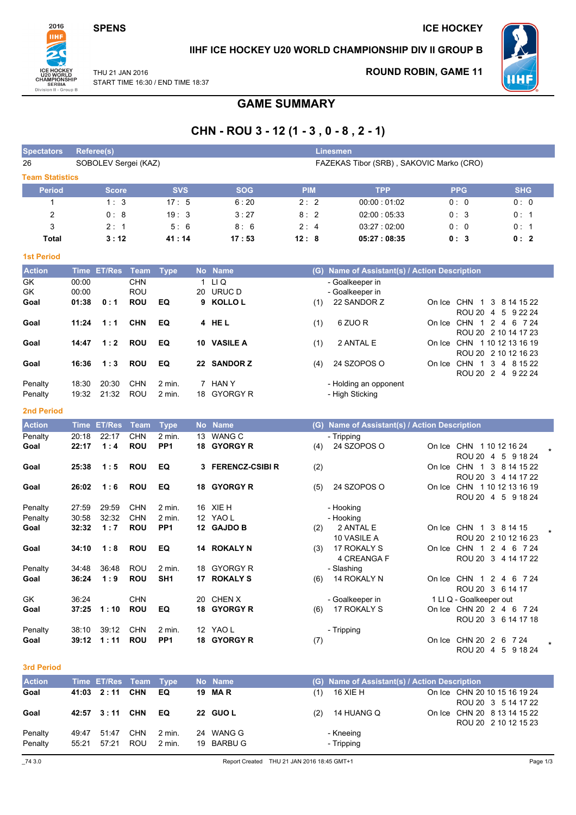**SPENS** 

**ICE HOCKEY** 



# IIHF ICE HOCKEY U20 WORLD CHAMPIONSHIP DIV II GROUP B

THU 21 JAN 2016 START TIME 16:30 / END TIME 18:37 **ROUND ROBIN, GAME 11** 



# **GAME SUMMARY**

# CHN - ROU 3 - 12 (1 - 3, 0 - 8, 2 - 1)

| <b>Spectators</b>      |                | <b>Referee(s)</b>    |                          |                             |                                          |                           |            |     | <b>Linesmen</b>                               |  |                          |                                               |        |  |
|------------------------|----------------|----------------------|--------------------------|-----------------------------|------------------------------------------|---------------------------|------------|-----|-----------------------------------------------|--|--------------------------|-----------------------------------------------|--------|--|
| 26                     |                | SOBOLEV Sergei (KAZ) |                          |                             | FAZEKAS Tibor (SRB), SAKOVIC Marko (CRO) |                           |            |     |                                               |  |                          |                                               |        |  |
| <b>Team Statistics</b> |                |                      |                          |                             |                                          |                           |            |     |                                               |  |                          |                                               |        |  |
| <b>Period</b>          |                | <b>Score</b>         |                          | <b>SVS</b>                  |                                          | <b>SOG</b>                | <b>PIM</b> |     | <b>TPP</b>                                    |  | <b>PPG</b>               | <b>SHG</b>                                    |        |  |
| $\mathbf{1}$           |                | 1:3                  |                          | 17:5                        |                                          | 6:20                      | 2:2        |     | 00:00:01:02                                   |  | 0:0                      | 0:0                                           |        |  |
| $\overline{2}$         |                | 0:8                  |                          | 19:3                        |                                          | 3:27                      | 8:2        |     | 02:00:05:33                                   |  | 0:3                      | 0:1                                           |        |  |
| 3                      |                | 2:1                  |                          | 5:6                         |                                          | 8:6                       | 2:4        |     | 03:27:02:00                                   |  | 0:0                      | 0:1                                           |        |  |
| <b>Total</b>           |                | 3:12                 |                          | 41 : 14                     |                                          | 17:53                     | 12:8       |     | 05:27:08:35                                   |  | 0:3                      | 0:2                                           |        |  |
| <b>1st Period</b>      |                |                      |                          |                             |                                          |                           |            |     |                                               |  |                          |                                               |        |  |
| <b>Action</b>          |                | Time ET/Res          | <b>Team</b>              | <b>Type</b>                 |                                          | No Name                   |            |     | (G) Name of Assistant(s) / Action Description |  |                          |                                               |        |  |
| GK                     | 00:00          |                      | <b>CHN</b>               |                             |                                          | $1 \quad L1 \quad Q$      |            |     | - Goalkeeper in                               |  |                          |                                               |        |  |
| GK                     | 00:00          |                      | <b>ROU</b>               |                             | 20                                       | URUC D                    |            |     | - Goalkeeper in                               |  |                          |                                               |        |  |
| Goal                   | 01:38          | 0:1                  | <b>ROU</b>               | EQ                          |                                          | 9 KOLLO L                 |            | (1) | 22 SANDOR Z                                   |  |                          | On Ice CHN 1 3 8 14 15 22                     |        |  |
| Goal                   | 11:24          | 1:1                  | <b>CHN</b>               | EQ                          |                                          | 4 HEL                     |            | (1) | 6 ZUO R                                       |  |                          | ROU 20 4 5 9 22 24<br>On Ice CHN 1 2 4 6 7 24 |        |  |
|                        |                |                      |                          |                             |                                          |                           |            |     |                                               |  |                          | ROU 20 2 10 14 17 23                          |        |  |
| Goal                   | 14:47          | 1:2                  | <b>ROU</b>               | EQ                          |                                          | 10 VASILE A               |            | (1) | 2 ANTAL E                                     |  |                          | On Ice CHN 1 10 12 13 16 19                   |        |  |
|                        |                |                      |                          |                             |                                          |                           |            |     |                                               |  |                          | ROU 20 2 10 12 16 23                          |        |  |
| Goal                   | 16:36          | 1:3                  | <b>ROU</b>               | EQ                          |                                          | 22 SANDOR Z               |            | (4) | 24 SZOPOS O                                   |  |                          | On Ice CHN 1 3 4 8 15 22                      |        |  |
| Penalty                | 18:30          | 20:30                | <b>CHN</b>               | $2$ min.                    |                                          | 7 HAN Y                   |            |     | - Holding an opponent                         |  |                          | ROU 20 2 4 9 22 24                            |        |  |
| Penalty                | 19:32          | 21:32                | <b>ROU</b>               | 2 min.                      | 18                                       | <b>GYORGY R</b>           |            |     | - High Sticking                               |  |                          |                                               |        |  |
|                        |                |                      |                          |                             |                                          |                           |            |     |                                               |  |                          |                                               |        |  |
| <b>2nd Period</b>      |                |                      |                          |                             |                                          |                           |            |     |                                               |  |                          |                                               |        |  |
| <b>Action</b>          | <b>Time</b>    | <b>ET/Res</b>        | <b>Team</b>              | <b>Type</b>                 |                                          | No Name                   |            |     | (G) Name of Assistant(s) / Action Description |  |                          |                                               |        |  |
| Penalty                | 20:18          | 22:17                | <b>CHN</b>               | 2 min.                      | 13                                       | <b>WANG C</b>             |            |     | - Tripping                                    |  |                          |                                               |        |  |
| Goal                   | 22:17          | 1:4                  | <b>ROU</b>               | PP <sub>1</sub>             |                                          | 18 GYORGY R               |            | (4) | 24 SZOPOS O                                   |  | On Ice CHN 1 10 12 16 24 | ROU 20 4 5 9 18 24                            |        |  |
| Goal                   | 25:38          | 1:5                  | <b>ROU</b>               | EQ                          | 3                                        | <b>FERENCZ-CSIBI R</b>    |            | (2) |                                               |  |                          | On Ice CHN 1 3 8 14 15 22                     |        |  |
|                        |                |                      |                          |                             |                                          |                           |            |     |                                               |  |                          | ROU 20 3 4 14 17 22                           |        |  |
| Goal                   | 26:02          | 1:6                  | <b>ROU</b>               | EQ                          | 18                                       | <b>GYORGY R</b>           |            | (5) | 24 SZOPOS O                                   |  |                          | On Ice CHN 1 10 12 13 16 19                   |        |  |
|                        |                |                      |                          |                             |                                          |                           |            |     |                                               |  |                          | ROU 20 4 5 9 18 24                            |        |  |
| Penalty                | 27:59          | 29:59                | <b>CHN</b>               | 2 min.                      |                                          | 16 XIE H                  |            |     | - Hooking                                     |  |                          |                                               |        |  |
| Penalty                | 30:58          | 32:32                | <b>CHN</b>               | $2$ min.<br>PP <sub>1</sub> |                                          | 12 YAO L                  |            |     | - Hooking                                     |  |                          |                                               |        |  |
| Goal                   | 32:32          | 1:7                  | <b>ROU</b>               |                             |                                          | 12 GAJDO B                |            | (2) | 2 ANTAL E<br>10 VASILE A                      |  | On Ice CHN 1 3 8 14 15   | ROU 20 2 10 12 16 23                          | $\ast$ |  |
| Goal                   | 34:10          | 1:8                  | <b>ROU</b>               | EQ                          |                                          | 14 ROKALY N               |            | (3) | 17 ROKALY S                                   |  |                          | On Ice CHN 1 2 4 6 7 24                       |        |  |
|                        |                |                      |                          |                             |                                          |                           |            |     | 4 CREANGA F                                   |  |                          | ROU 20 3 4 14 17 22                           |        |  |
| Penalty                | 34:48          | 36:48                | <b>ROU</b>               | 2 min.                      | 18                                       | <b>GYORGY R</b>           |            |     | - Slashing                                    |  |                          |                                               |        |  |
| Goal                   | 36:24          | 1:9                  | <b>ROU</b>               | SH <sub>1</sub>             | 17                                       | <b>ROKALY S</b>           |            | (6) | 14 ROKALY N                                   |  |                          | On Ice CHN 1 2 4 6 7 24                       |        |  |
|                        |                |                      |                          |                             |                                          |                           |            |     |                                               |  | ROU 20 3 6 14 17         |                                               |        |  |
| GK<br>Goal             | 36:24<br>37:25 | 1:10                 | <b>CHN</b><br><b>ROU</b> | EQ                          | 20<br>18                                 | CHEN X<br><b>GYORGY R</b> |            |     | - Goalkeeper in<br>17 ROKALY S                |  | 1 LI Q - Goalkeeper out  | On Ice CHN 20 2 4 6 7 24                      |        |  |
|                        |                |                      |                          |                             |                                          |                           |            | (6) |                                               |  |                          | ROU 20 3 6 14 17 18                           |        |  |
| Penalty                | 38:10          | 39:12                | <b>CHN</b>               | 2 min.                      |                                          | 12 YAO L                  |            |     | - Tripping                                    |  |                          |                                               |        |  |
| Goal                   | 39:12          | 1:11                 | <b>ROU</b>               | PP <sub>1</sub>             |                                          | 18 GYORGY R               |            | (7) |                                               |  | On Ice CHN 20 2 6 7 24   |                                               |        |  |

3rd Period

| <b>Action</b> |       | Time ET/Res Team Type |            |        | No Name         |     | (G) Name of Assistant(s) / Action Description |                                                     |
|---------------|-------|-----------------------|------------|--------|-----------------|-----|-----------------------------------------------|-----------------------------------------------------|
| Goal          |       | 41:03 2:11            | CHN        | EQ.    | 19 MAR          | (1) | 16 XIE H                                      | On Ice CHN 20 10 15 16 19 24<br>ROU 20 3 5 14 17 22 |
| Goal          |       | 42:57 3:11 CHN        |            | EQ.    | <b>22 GUO L</b> | (2) | 14 HUANG Q                                    | On Ice CHN 20 8 13 14 15 22<br>ROU 20 2 10 12 15 23 |
| Penalty       | 49:47 | 51:47                 | <b>CHN</b> | 2 min. | 24 WANG G       |     | - Kneeing                                     |                                                     |
| Penalty       | 55:21 | 57:21                 | ROU        | 2 min. | 19 BARBU G      |     | - Tripping                                    |                                                     |

 $\star$ 

ROU 20 4 5 9 18 24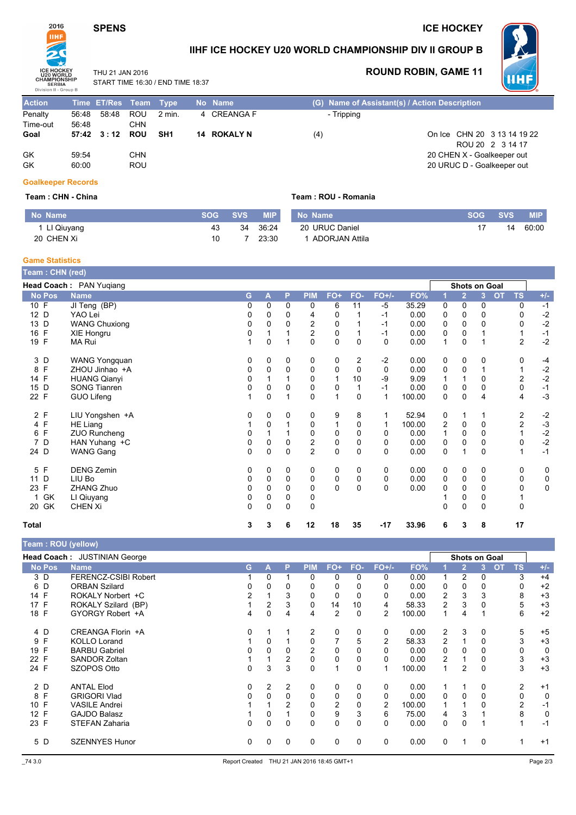# **SPENS**

### **ICE HOCKEY**



IIHF ICE HOCKEY U20 WORLD CHAMPIONSHIP DIV II GROUP B

Team: ROU - Romania

THU 21 JAN 2016 START TIME 16:30 / END TIME 18:37

# **ROUND ROBIN, GAME 11**



| <b>Action</b> |       | Time ET/Res Team Type |            |                 | No Name            |            | (G) Name of Assistant(s) / Action Description |
|---------------|-------|-----------------------|------------|-----------------|--------------------|------------|-----------------------------------------------|
| Penalty       | 56:48 | 58:48                 | ROU        | 2 min.          | 4 CREANGA F        | - Tripping |                                               |
| Time-out      | 56:48 |                       | CHN        |                 |                    |            |                                               |
| Goal          |       | 57:42 3:12 ROU        |            | SH <sub>1</sub> | <b>14 ROKALY N</b> | (4)        | On Ice CHN 20 3 13 14 19 22                   |
|               |       |                       |            |                 |                    |            | ROU 20 2 3 14 17                              |
| GK            | 59:54 |                       | CHN        |                 |                    |            | 20 CHEN X - Goalkeeper out                    |
| GK            | 60:00 |                       | <b>ROU</b> |                 |                    |            | 20 URUC D - Goalkeeper out                    |

#### **Goalkeeper Records**

#### Team: CHN - China

| No Name      |    | SOG SVS | <b>MIP</b> | No Name        | <b>SOG</b> | SVS. | <b>MIP</b> |
|--------------|----|---------|------------|----------------|------------|------|------------|
| 1 LI Qiuyang | 43 | 34      | 36:24      | 20 URUC Daniel |            | 14   | 60:00      |
| 20 CHEN Xi   | 10 |         | 23:30      | ADORJAN Attila |            |      |            |

#### **Game Statistics**

| Team: CHN (red)   |                         |   |          |          |                |             |                |          |        |   |                      |                |           |                |           |
|-------------------|-------------------------|---|----------|----------|----------------|-------------|----------------|----------|--------|---|----------------------|----------------|-----------|----------------|-----------|
|                   | Head Coach: PAN Yuqiang |   |          |          |                |             |                |          |        |   | <b>Shots on Goal</b> |                |           |                |           |
| <b>No Pos</b>     | <b>Name</b>             | G | Α        | P        | <b>PIM</b>     | FO+         | FO-            | $FO+/-$  | FO%    |   | $\overline{2}$       | $\overline{3}$ | <b>OT</b> | <b>TS</b>      | $+/-$     |
| 10 F              | JI Teng (BP)            | 0 | $\Omega$ | 0        | 0              | 6           | 11             | $-5$     | 35.29  | 0 | 0                    | 0              |           | 0              | $-1$      |
| 12 D              | YAO Lei                 | 0 | 0        | 0        | 4              | 0           |                | $-1$     | 0.00   | 0 | 0                    | 0              |           | 0              | $-2$      |
| 13 D              | <b>WANG Chuxiong</b>    | 0 | $\Omega$ | 0        | 2              | 0           |                | $-1$     | 0.00   | 0 | $\mathbf 0$          | 0              |           | 0              | $-2$      |
| 16 F              | XIE Hongru              | 0 |          |          | 2              | 0           |                | $-1$     | 0.00   | 0 | 0                    |                |           |                | $-1$      |
| 19 F              | MA Rui                  | 1 | 0        |          | $\Omega$       | $\mathbf 0$ | $\Omega$       | $\Omega$ | 0.00   | 1 | 0                    |                |           | 2              | $-2$      |
| 3 D               | WANG Yongquan           | 0 | 0        | 0        | 0              | 0           | $\overline{c}$ | $-2$     | 0.00   | 0 | 0                    | 0              |           | 0              | $-4$      |
| F<br>8            | ZHOU Jinhao +A          | 0 | 0        | $\Omega$ | 0              | 0           | 0              | $\Omega$ | 0.00   | 0 | 0                    |                |           |                | $-2$      |
| 14 F              | <b>HUANG Qianyi</b>     | 0 |          |          | 0              |             | 10             | -9       | 9.09   | 1 |                      | 0              |           | $\overline{2}$ | $-2$      |
| D<br>15           | <b>SONG Tianren</b>     | 0 | 0        | 0        | 0              | 0           |                | $-1$     | 0.00   | 0 | 0                    | 0              |           | 0              | $-1$      |
| 22 F              | GUO Lifeng              | 1 | 0        |          | 0              | 1           | 0              | 1        | 100.00 | 0 | $\Omega$             | 4              |           | 4              | $-3$      |
| 2 F               | LIU Yongshen +A         | 0 | 0        | 0        | 0              | 9           | 8              |          | 52.94  | 0 |                      |                |           | 2              | $-2$      |
| 4 F               | HE Liang                |   | $\Omega$ |          | 0              |             | 0              |          | 100.00 | 2 | 0                    | 0              |           | $\overline{c}$ | $-3$      |
| $\mathsf{F}$<br>6 | <b>ZUO Runcheng</b>     | 0 |          |          | 0              | 0           | 0              | 0        | 0.00   | 1 | 0                    | 0              |           |                | $-2$      |
| D<br>7            | HAN Yuhang +C           | 0 | 0        | 0        | 2              | 0           | 0              | 0        | 0.00   | 0 | 0                    | 0              |           | 0              | $-2$      |
| 24 D              | <b>WANG Gang</b>        | 0 | 0        | 0        | $\overline{2}$ | $\mathbf 0$ | 0              | $\Omega$ | 0.00   | 0 |                      | 0              |           |                | $-1$      |
| F<br>5            | <b>DENG Zemin</b>       | 0 | 0        | 0        | 0              | 0           | 0              | 0        | 0.00   | 0 | 0                    | 0              |           | 0              | 0         |
| D<br>11           | LIU Bo                  | 0 | 0        | 0        | 0              | 0           | 0              | 0        | 0.00   | 0 | 0                    | 0              |           | 0              | 0         |
| F<br>23           | ZHANG Zhuo              | 0 | $\Omega$ | 0        | 0              | $\mathbf 0$ | $\mathbf{0}$   | $\Omega$ | 0.00   | 0 | 0                    | 0              |           | 0              | $\pmb{0}$ |
| GK                | LI Qiuyang              | 0 | 0        | 0        | 0              |             |                |          |        |   | 0                    | 0              |           |                |           |
| 20 GK             | <b>CHEN Xi</b>          | 0 | 0        | 0        | 0              |             |                |          |        | 0 | 0                    | 0              |           | 0              |           |
| Total             |                         | 3 | 3        | 6        | 12             | 18          | 35             | $-17$    | 33.96  | 6 | 3                    | 8              |           | 17             |           |

|                                                      | <b>Team: ROU (yellow)</b>   |                |   |                |                |                |          |                |        |                |                |                |           |       |
|------------------------------------------------------|-----------------------------|----------------|---|----------------|----------------|----------------|----------|----------------|--------|----------------|----------------|----------------|-----------|-------|
| Head Coach: JUSTINIAN George<br><b>Shots on Goal</b> |                             |                |   |                |                |                |          |                |        |                |                |                |           |       |
| <b>No Pos</b>                                        | <b>Name</b>                 | G.             | А | P              | <b>PIM</b>     | $FO+$          | FO-      | $FO+/-$        | FO%    |                | $\overline{2}$ | <b>OT</b><br>3 | <b>TS</b> | $+/-$ |
| 3 D                                                  | <b>FERENCZ-CSIBI Robert</b> |                | 0 |                | $\mathbf{0}$   | 0              | 0        | 0              | 0.00   |                | 2              | 0              | 3         | $+4$  |
| 6 D                                                  | <b>ORBAN Szilard</b>        | 0              |   | 0              | 0              | 0              |          | 0              | 0.00   | 0              | 0              | 0              | 0         | $+2$  |
| 14 F                                                 | ROKALY Norbert +C           | $\overline{2}$ |   | 3              | 0              | 0              |          | 0              | 0.00   | 2              | 3              | 3              | 8         | $+3$  |
| 17 F                                                 | ROKALY Szilard (BP)         |                | 2 | 3              | 0              | 14             | 10       | 4              | 58.33  | $\overline{c}$ | 3              |                | 5         | $+3$  |
| 18 F                                                 | GYORGY Robert +A            | 4              | 0 | 4              | 4              | $\overline{2}$ | 0        | 2              | 100.00 | 1              | 4              |                | 6         | $+2$  |
| 4 D                                                  | CREANGA Florin +A           | 0              |   |                | 2              | 0              | 0        | 0              | 0.00   | 2              | 3              | 0              | 5         | $+5$  |
| F<br>9                                               | <b>KOLLO Lorand</b>         |                | 0 |                | 0              |                | 5        | 2              | 58.33  | $\overline{2}$ |                | 0              | 3         | $+3$  |
| 19 F                                                 | <b>BARBU Gabriel</b>        | 0              | 0 | 0              | $\overline{2}$ | 0              | 0        | 0              | 0.00   | 0              | 0              | 0              | 0         | 0     |
| 22 F                                                 | <b>SANDOR Zoltan</b>        |                |   | 2              | $\Omega$       | $\Omega$       | $\Omega$ | 0              | 0.00   | 2              |                |                | 3         | $+3$  |
| 24 F                                                 | SZOPOS Otto                 | 0              | 3 | 3              | 0              | и              | 0        |                | 100.00 | 1              | 2              | 0              | 3         | $+3$  |
| 2 D                                                  | <b>ANTAL Elod</b>           | 0              | 2 | 2              | 0              | 0              | 0        | 0              | 0.00   |                |                | 0              | 2         | $+1$  |
| 8 F                                                  | <b>GRIGORI Vlad</b>         | 0              | 0 | $\Omega$       | $\Omega$       | $\Omega$       | 0        | 0              | 0.00   | $\Omega$       | 0              | 0              | 0         | 0     |
| F<br>10 <sup>1</sup>                                 | <b>VASILE Andrei</b>        |                |   | $\mathfrak{p}$ | 0              | 2              |          | $\overline{2}$ | 100.00 |                |                |                | 2         | $-1$  |
| 12 <sup>2</sup><br>F                                 | <b>GAJDO Balasz</b>         |                | 0 |                | 0              | 9              | 3        | 6              | 75.00  | 4              | 3              |                | 8         | 0     |
| 23 F                                                 | STEFAN Zaharia              | 0              | 0 | 0              | $\Omega$       | 0              | 0        | 0              | 0.00   | $\Omega$       | $\Omega$       |                |           | $-1$  |
| 5 D                                                  | <b>SZENNYES Hunor</b>       | 0              | 0 | 0              | 0              | 0              | 0        | 0              | 0.00   | 0              |                | 0              |           | $+1$  |